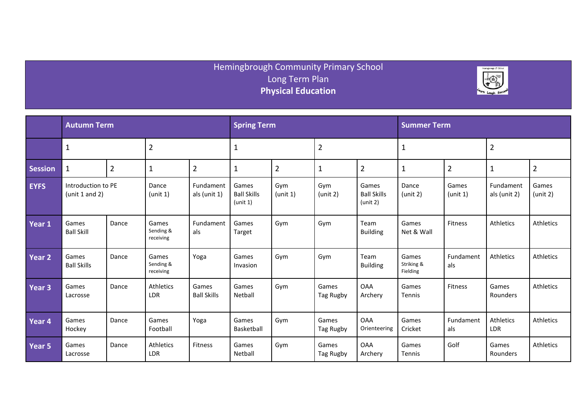## Hemingbrough Community Primary School Long Term Plan **Physical Education**



|                | <b>Autumn Term</b>                   |                |                                 |                             | <b>Spring Term</b>                      |                 |                    |                                         | <b>Summer Term</b>              |                   |                           |                   |  |
|----------------|--------------------------------------|----------------|---------------------------------|-----------------------------|-----------------------------------------|-----------------|--------------------|-----------------------------------------|---------------------------------|-------------------|---------------------------|-------------------|--|
|                | $\mathbf{1}$                         |                | $\overline{2}$                  |                             | $\mathbf{1}$                            |                 | $\overline{2}$     |                                         | $\mathbf{1}$                    |                   | $\overline{2}$            |                   |  |
| <b>Session</b> | $\mathbf{1}$                         | $\overline{2}$ | $\mathbf 1$                     | $\overline{2}$              | $\mathbf{1}$                            | $\overline{2}$  | $\mathbf{1}$       | $\overline{2}$                          | $\mathbf{1}$                    | $\overline{2}$    | $\mathbf{1}$              | $\overline{2}$    |  |
| <b>EYFS</b>    | Introduction to PE<br>(unit 1 and 2) |                | Dance<br>(unit 1)               | Fundament<br>als (unit 1)   | Games<br><b>Ball Skills</b><br>(unit 1) | Gym<br>(unit 1) | Gym<br>(unit 2)    | Games<br><b>Ball Skills</b><br>(unit 2) | Dance<br>(unit 2)               | Games<br>(unit 1) | Fundament<br>als (unit 2) | Games<br>(unit 2) |  |
| Year 1         | Games<br><b>Ball Skill</b>           | Dance          | Games<br>Sending &<br>receiving | Fundament<br>als            | Games<br>Target                         | Gym             | Gym                | Team<br><b>Building</b>                 | Games<br>Net & Wall             | Fitness           | Athletics                 | Athletics         |  |
| Year 2         | Games<br><b>Ball Skills</b>          | Dance          | Games<br>Sending &<br>receiving | Yoga                        | Games<br>Invasion                       | Gym             | Gym                | Team<br><b>Building</b>                 | Games<br>Striking &<br>Fielding | Fundament<br>als  | Athletics                 | Athletics         |  |
| Year 3         | Games<br>Lacrosse                    | Dance          | Athletics<br><b>LDR</b>         | Games<br><b>Ball Skills</b> | Games<br>Netball                        | Gym             | Games<br>Tag Rugby | <b>OAA</b><br>Archery                   | Games<br>Tennis                 | <b>Fitness</b>    | Games<br>Rounders         | Athletics         |  |
| Year 4         | Games<br>Hockey                      | Dance          | Games<br>Football               | Yoga                        | Games<br>Basketball                     | Gym             | Games<br>Tag Rugby | <b>OAA</b><br>Orienteering              | Games<br>Cricket                | Fundament<br>als  | Athletics<br>LDR          | Athletics         |  |
| Year 5         | Games<br>Lacrosse                    | Dance          | Athletics<br><b>LDR</b>         | <b>Fitness</b>              | Games<br>Netball                        | Gym             | Games<br>Tag Rugby | <b>OAA</b><br>Archery                   | Games<br>Tennis                 | Golf              | Games<br>Rounders         | Athletics         |  |